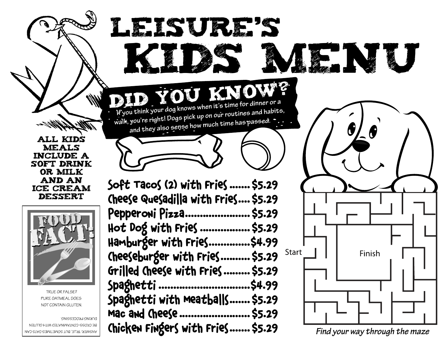All kids **MEALS** include a soft drink or milk and an ice cream dessert



TRUE OR FALSE? PURE OATMEAL DOES NOT CONTAIN GLUTEN.

DURING PROCESSING.

BE CKOSS-CONTAMINATED WITH GLUTEN ANSWER: TRUE, BUT SOMETIMES OATS CAN

Soft Tacos (2) with Fries ....... \$5.29 Cheese Quesadilla with Fries.... \$5.29 Pepperoni Pizza...................... \$5.29 Hot Dog with Fries ................. \$5.29 Hamburger with Fries..............\$4.99 Cheeseburger with Fries.......... \$5.29 Grilled Cheese with Fries......... \$5.29 Spaghetti ...............................\$4.99 Spaghetti with Meatballs....... \$5.29 Mac and Cheese ......................... \$5.29

Leisure's

**If you think your dog knows when it's time for dinner or a walk, you're right! Dogs pick up on our routines and habits,**  and they also sense how much time has passed.

Did You Know?

Chicken Fingers with Fries....... \$5.29



K. NJU

*Find your way through the maze*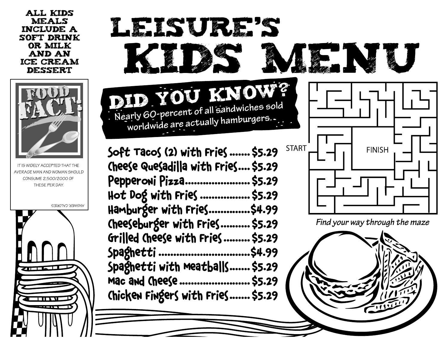All kids meals include a soft drink or milk and an ice cream dessert



IT IS WIDELY ACCEPTED THAT THE AVERAGE MAN AND WOMAN SHOULD CONSUME 2,500/2000 OF THESE PER DAY.

**ANSWER: CALORIES**